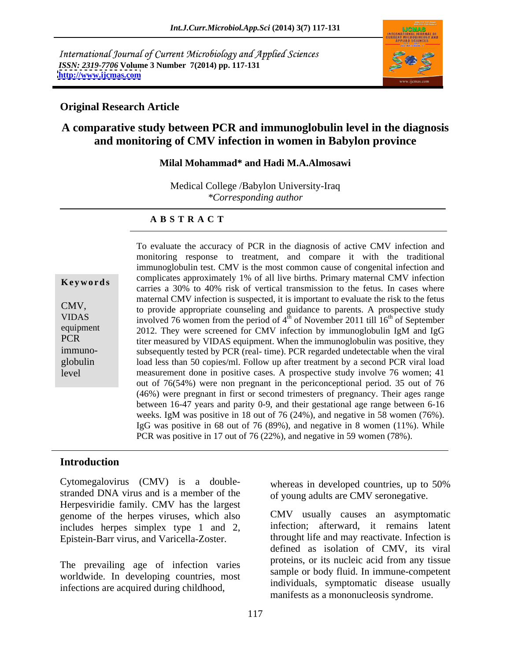International Journal of Current Microbiology and Applied Sciences *ISSN: 2319-7706* **Volume 3 Number 7(2014) pp. 117-131 <http://www.ijcmas.com>**



## **Original Research Article**

# **A comparative study between PCR and immunoglobulin level in the diagnosis and monitoring of CMV infection in women in Babylon province**

## **Milal Mohammad\* and Hadi M.A.Almosawi**

Medical College /Babylon University-Iraq *\*Corresponding author* 

### **A B S T R A C T**

**Keywords**<br>
carries a 30% to 40% risk of vertical transmission to the fetus. In cases where CMV, to provide appropriate counseling and guidance to parents. A prospective study VIDAS involved 76 women from the period of  $4^{\text{th}}$  of November 2011 till  $16^{\text{th}}$  of September equipment 2012. They were screened for CMV infection by immunoglobulin IgM and IgG PCR titer measured by VIDAS equipment. When the immunoglobulin was positive, they immuno- subsequently tested by PCR (real- time). PCR regarded undetectable when the viral globulin load less than 50 copies/ml. Follow up after treatment by a second PCR viral load level measurement done in positive cases. A prospective study involve 76 women; 41 To evaluate the accuracy of PCR in the diagnosis of active CMV infection and monitoring response to treatment, and compare it with the traditional immunoglobulin test. CMV is the most common cause of congenital infection and complicates approximately 1% of all live births. Primary maternal CMV infection maternal CMV infection is suspected, it is important to evaluate the risk to the fetus  $\text{th}$  of September out of 76(54%) were non pregnant in the periconceptional period. 35 out of 76 (46%) were pregnant in first or second trimesters of pregnancy. Their ages range between 16-47 years and parity 0-9, and their gestational age range between 6-16 weeks. IgM was positive in 18 out of 76 (24%), and negative in 58 women (76%). IgG was positive in 68 out of 76 (89%), and negative in 8 women (11%). While PCR was positive in 17 out of 76 (22%), and negative in 59 women (78%).

## **Introduction**

Cytomegalovirus (CMV) is a double-<br>whereas in developed countries, up to 50% stranded DNA virus and is a member of the Herpesviridie family. CMV has the largest genome of the herpes viruses, which also includes herpes simplex type 1 and 2, Epistein-Barr virus, and Varicella-Zoster.

The prevailing age of infection varies worldwide. In developing countries, most infections are acquired during childhood,

whereas in developed countries, up to 50% of young adults are CMV seronegative.

CMV usually causes an asymptomatic infection; afterward, it remains latent throught life and may reactivate. Infection is defined as isolation of CMV, its viral proteins, or its nucleic acid from any tissue sample or body fluid. In immune-competent individuals, symptomatic disease usually manifests as a mononucleosis syndrome.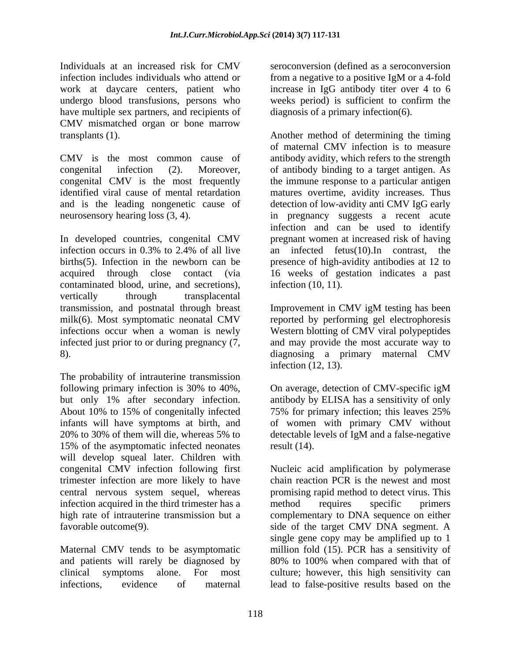Individuals at an increased risk for CMV seroconversion (defined as a seroconversion infection includes individuals who attend or from a negative to a positive IgM or a 4-fold work at daycare centers, patient who undergo blood transfusions, persons who have multiple sex partners, and recipients of CMV mismatched organ or bone marrow

and is the leading nongenetic cause of

In developed countries, congenital CMV contaminated blood, urine, and secretions), infection (10, 11). vertically through transplacental transmission, and postnatal through breast milk(6). Most symptomatic neonatal CMV infections occur when a woman is newly Western blotting of CMV viral polypeptides infected just prior to or during pregnancy (7, and may provide the most accurate way to 8). diagnosing a primary maternal CMV

The probability of intrauterine transmission following primary infection is 30% to 40%, On average, detection of CMV-specific igM but only 1% after secondary infection. antibody by ELISA has a sensitivity of only About 10% to 15% of congenitally infected 75% for primary infection; this leaves 25% infants will have symptoms at birth, and of women with primary CMV without infants will have symptoms at birth, and of women with primary CMV without 20% to 30% of them will die, whereas 5% to detectable levels of IgM and a false-negative 15% of the asymptomatic infected neonates result (14). will develop squeal later. Children with congenital CMV infection following first trimester infection are more likely to have infection acquired in the third trimester has a method requires specific primers

and patients will rarely be diagnosed by 80% to 100% when compared with that of

increase in IgG antibody titer over 4 to 6 weeks period) is sufficient to confirm the diagnosis of a primary infection(6).

transplants (1). Another method of determining the timing CMV is the most common cause of antibody avidity, which refers to the strength congenital infection (2). Moreover, of antibody binding to a target antigen. As congenital CMV is the most frequently the immune response to a particular antigen identified viral cause of mental retardation matures overtime, avidity increases. Thus neurosensory hearing loss (3, 4). in pregnancy suggests a recent acute infection occurs in 0.3% to 2.4% of all live  $\qquad$  an infected fetus(10). In contrast, the births(5). Infection in the newborn can be presence of high-avidity antibodiesat 12 to acquired through close contact (via 16 weeks of gestation indicates a past of maternal CMV infection is to measure detection of low-avidity anti CMV IgG early infection and can be used to identify pregnant women at increased risk of having an infected fetus(10).In contrast, the infection (10, 11).

> Improvement in CMV igM testing has been reported by performing gel electrophoresis infection (12, 13).

On average, detection of CMV-specific igM 75% for primary infection; this leaves 25% result (14).

central nervous system sequel, whereas promising rapid method to detect virus. This high rate of intrauterine transmission but a complementary to DNA sequence on either favorable outcome(9). side of the target CMV DNA segment. A Maternal CMV tends to be asymptomatic million fold (15). PCR has a sensitivity of clinical symptoms alone. For most culture; however, this high sensitivity can infections, evidence of maternal lead to false-positive results based on theNucleic acid amplification by polymerase chain reaction PCR is the newest and most method requires specific primers single gene copy may be amplified up to 1 80% to 100% when compared with that of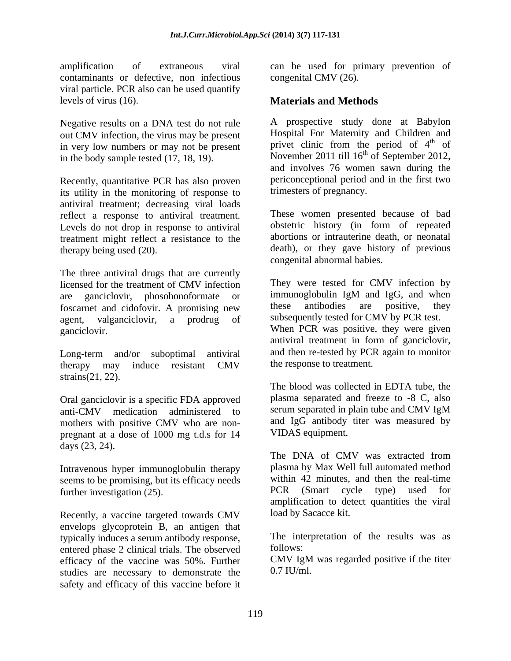contaminants or defective, non infectious viral particle. PCR also can be used quantify levels of virus (16). **Materials and Methods**

Negative results on a DNA test do not rule out CMV infection, the virus may be present in very low numbers or may not be present in the body sample tested (17, 18, 19).

Recently, quantitative PCR has also proven its utility in the monitoring of response to antiviral treatment; decreasing viral loads reflect a response to antiviral treatment. Levels do not drop in response to antiviral treatment might reflect a resistance to the

The three antiviral drugs that are currently are ganciclovir, phosohonoformate or immunoglobulin IgM and IgG, and when<br>foscarnet and cidofovir A promising new these antibodies are positive, they foscarnet and cidofovir. A promising new

therapy may induce resistant CMV the response to treatment. strains(21, 22).

Oral ganciclovir is a specific FDA approved anti-CMV medication administered to mothers with positive CMV who are non pregnant at a dose of 1000 mg t.d.s for 14 days (23, 24).<br>The DNA of CMV was extracted from

Intravenous hyper immunoglobulin therapy seems to be promising, but its efficacy needs<br>further investigation (25) within 42 minutes, and then the real-time<br> $C\text{C}$  (Smart cycle type) used for further investigation (25).

Recently, a vaccine targeted towards CMV envelops glycoprotein B, an antigen that typically induces a serum antibody response, The inter-<br>entered phase 2 clinical trials. The observed follows: entered phase 2 clinical trials. The observed efficacy of the vaccine was 50%. Further studies are necessary to demonstrate the safety and efficacy of this vaccine before it

amplification of extraneous viral can be used for primary prevention of congenital CMV (26).

A prospective study done at Babylon Hospital For Maternity and Children and privet clinic from the period of 4<sup>th</sup> of  $\phi$  the  $\phi$  f of November 2011 till  $16<sup>th</sup>$  of September 2012, and involves 76 women sawn during the periconceptional period and in the first two trimesters of pregnancy.

therapy being used (20). death), or they gave history of previous These women presented because of bad obstetric history (in form of repeated abortions or intrauterine death, or neonatal congenital abnormal babies.

licensed for the treatment of CMV infection They were tested for CMV infection by agent, valganciclovir, a prodrug of subsequently tested for CMV by PCR test. ganciclovir. When PCR was positive, they were given Long-term and/or suboptimal antiviral and then re-tested by PCR again to monitor They were tested for CMV infection by immunoglobulin IgM and IgG, and when these antibodies are positive, they antiviral treatment in form of ganciclovir, and then re-tested by PCR again to monitor the response to treatment.

> The blood was collected in EDTA tube, the plasma separated and freeze to -8 C, also serum separated in plain tube and CMV IgM and IgG antibody titer was measured by VIDAS equipment.

The DNA of CMV was extracted from plasma by Max Well full automated method within 42 minutes, and then the real-time PCR (Smart cycle type) used for amplification to detect quantities the viral load by Sacacce kit.

The interpretation of the results was as follows:

CMV IgM was regarded positive if the titer  $0.7$  IU/ml.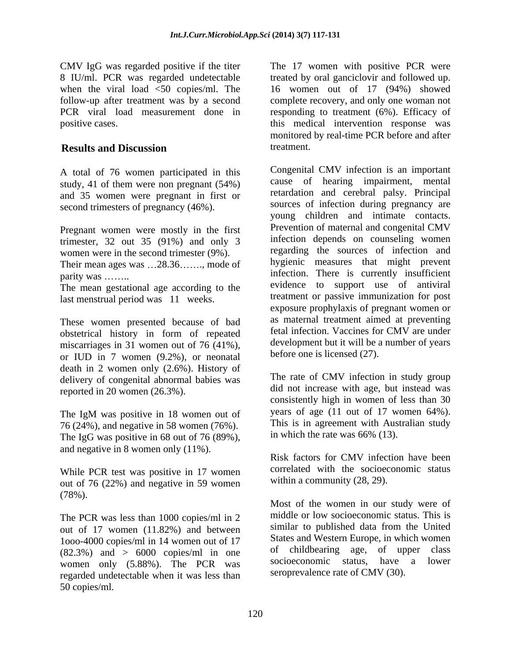A total of 76 women participated in this study, 41 of them were non pregnant (54%) and 35 women were pregnant in first or second trimesters of pregnancy (46%).

Pregnant women were mostly in the first trimester,  $32$  out  $35$  (91%) and only 3 women were in the second trimester (9%).

Their mean ages was  $\dots$ 28.36 $\dots$ , mode of

The mean gestational age according to the last menstrual period was 11 weeks.

These women presented because of bad obstetrical history in form of repeated miscarriages in 31 women out of 76 (41%), or IUD in 7 women (9.2%), or neonatal death in 2 women only (2.6%). History of delivery of congenital abnormal babies was reported in 20 women (26.3%).

76 (24%), and negative in 58 women (76%). The IgG was positive in 68 out of 76 (89%), and negative in 8 women only (11%).

While PCR test was positive in 17 women out of 76 (22%) and negative in 59 women (78%).

The PCR was less than 1000 copies/ml in 2 out of 17 women (11.82%) and between 1ooo-4000 copies/ml in 14 women out of 17  $(82.3%)$  and  $> 6000$  copies/ml in one of childbearing age, of upper class<br>women only  $(5.88\%)$  The PCP was socioeconomic status, have a lower women only (5.88%). The PCR was regarded undetectable when it was less than 50 copies/ml.

CMV IgG was regarded positive if the titer The 17 women with positive PCR were 8 IU/ml. PCR was regarded undetectable treated by oral ganciclovir and followed up. when the viral load <50 copies/ml. The 16 women out of 17 (94%) showed follow-up after treatment was by a second complete recovery, and only one woman not PCR viral load measurement done in responding to treatment (6%). Efficacy of positive cases. this medical intervention response was **Results and Discussion** monitored by real-time PCR before and after treatment.

parity was ........ Congenital CMV infection is an important cause of hearing impairment, mental retardation and cerebral palsy. Principal sources of infection during pregnancy are young children and intimate contacts. Prevention of maternal and congenital CMV infection depends on counseling women regarding the sources of infection and hygienic measures that might prevent evidence to support use of antiviral treatment or passive immunization for post exposure prophylaxis of pregnant women or as maternal treatment aimed at preventing fetal infection. Vaccines for CMV are under development but it will be a number of years before one is licensed (27).

The IgM was positive in 18 women out of years of age (11 out of 17 women 64%). The rate of CMV infection in study group did not increase with age, but instead was consistently high in women of less than 30 years of age (11 out of 17 women 64%). This is in agreement with Australian study in which the rate was 66% (13).

> Risk factors for CMV infection have been correlated with the socioeconomic status within a community (28, 29).

Most of the women in our study were of middle or low socioeconomic status. This is similar to published data from the United States and Western Europe, in which women of childbearing age, of upper class socioeconomic status, have a lower seroprevalence rate of CMV (30).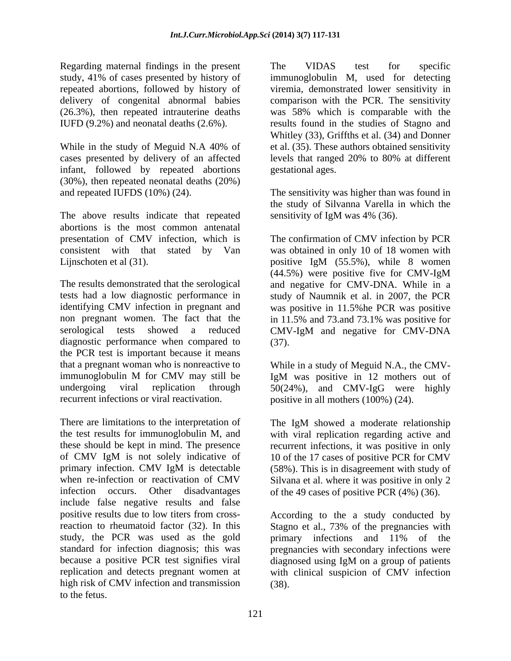Regarding maternal findings in the present The VIDAS test for specific study, 41% of cases presented by history of

infant, followed by repeated abortions (30%), then repeated neonatal deaths (20%) and repeated IUFDS (10%) (24). The sensitivity was higher than was found in

The above results indicate that repeated abortions is the most common antenatal

non pregnant women. The fact that the in 11.5% and 73.and 73.1% was positive for serological tests showed a reduced CMV-IgM and negative for CMV-DNA diagnostic performance when compared to (37). the PCR test is important because it means that a pregnant woman who is nonreactive to immunoglobulin M for CMV may still be IgM was positive in 12 mothers out of undergoing viral replication through 50(24%), and CMV-IgG were highly

There are limitations to the interpretation of The IgM showed a moderate relationship the test results for immunoglobulin M, and with viral replication regarding active and these should be kept in mind. The presence recurrent infections, it was positive in only of CMV IgM is not solely indicative of 10 of the 17 cases of positive PCR for CMV primary infection. CMV IgM is detectable (58%). This is in disagreement with study of when re-infection or reactivation of CMV Silvana et al. where it was positive in only 2 infection occurs. Other disadvantages of the 49 cases of positive PCR (4%) (36). include false negative results and false positive results due to low titers from cross-According to the a study conducted by reaction to rheumatoid factor (32). In this Stagno et al., 73% of the pregnancies with study, the PCR was used as the gold primary infections and 11% of the standard for infection diagnosis; this was pregnancies with secondary infections were because a positive PCR test signifies viral diagnosed using IgM on a group of patients replication and detects pregnant women at with clinical suspicion of CMV infection high risk of CMV infection and transmission to the fetus.

repeated abortions, followed by history of viremia, demonstrated lower sensitivity in delivery of congenital abnormal babies comparison with the PCR. The sensitivity (26.3%), then repeated intrauterine deaths was 58% which is comparable with the IUFD (9.2%) and neonatal deaths (2.6%). results found in the studies of Stagno and While in the study of Meguid N.A 40% of et al. (35). These authors obtained sensitivity cases presented by delivery of an affected levels that ranged 20% to 80% at different The VIDAS test for specific immunoglobulin M, used for detecting Whitley (33), Griffths et al. (34) and Donner gestational ages.

> the study of Silvanna Varella in which the sensitivity of IgM was 4% (36).

presentation of CMV infection, which is The confirmation of CMV infection by PCR consistent with that stated by Van was obtained in only 10 of 18 women with Lijnschoten et al (31).  $\qquad \qquad$  positive IgM (55.5%), while 8 women The results demonstrated that the serological and negative for CMV-DNA. While in a tests had a low diagnostic performance in study of Naumnik et al. in 2007, the PCR identifying CMV infection in pregnant and was positive in 11.5%he PCR was positive (44.5%) were positive five for CMV-IgM in 11.5% and 73.and 73.1% was positive for CMV-IgM and negative for CMV-DNA (37).

recurrent infections or viral reactivation. positive in all mothers (100%) (24). While in a study of Meguid N.A., the CMV-IgM was positive in 12 mothers out of

The IgM showed a moderate relationship

primary infections and 11% of the diagnosed using IgM on a group of patients (38).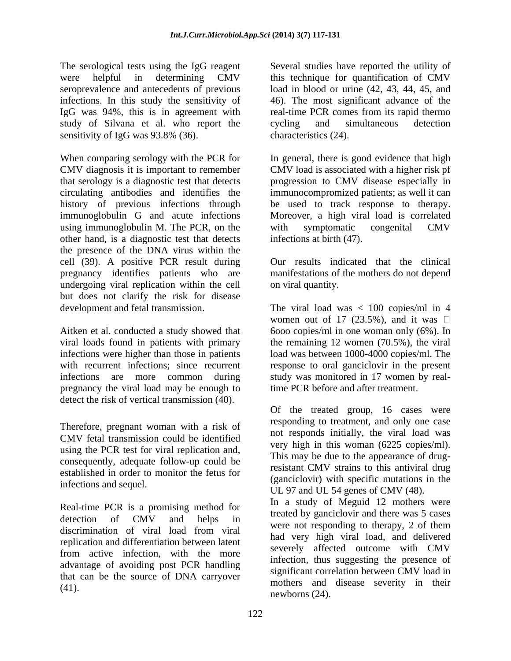The serological tests using the IgG reagent Several studies have reported the utility of were helpful in determining CMV this technique for quantification of CMV seroprevalence and antecedents of previous load in blood or urine (42, 43, 44, 45, and infections. In this study the sensitivity of 46). The most significant advance of the IgG was 94%, this is in agreement with real-time PCR comes from its rapid thermo study of Silvana et al. who report the cycling and simultaneous detection sensitivity of IgG was 93.8% (36).

When comparing serology with the PCR for In general, there is good evidence that high CMV diagnosis it is important to remember CMV load is associated with a higher risk pf that serology is a diagnostic test that detects progression to CMV disease especially in circulating antibodies and identifies the immunocompromized patients; as well it can history of previous infections through be used to track response to therapy. immunoglobulin G and acute infections Moreover, a high viral load is correlated using immunoglobulin M. The PCR, on the with symptomatic congenital CMV other hand, is a diagnostic test that detects the presence of the DNA virus within the cell (39). A positive PCR result during pregnancy identifies patients who are undergoing viral replication within the cell but does not clarify the risk for disease development and fetal transmission. The viral load was < 100 copies/ml in 4

pregnancy the viral load may be enough to detect the risk of vertical transmission (40).

Therefore, pregnant woman with a risk of CMV fetal transmission could be identified using the PCR test for viral replication and, consequently, adequate follow-up could be established in order to monitor the fetus for

Real-time PCR is a promising method for discrimination of viral load from viral replication and differentiation between latent from active infection, with the more advantage of avoiding post PCR handling that can be the source of DNA carryover

cycling and simultaneous detection characteristics (24).

with symptomatic congenital CMV infections at birth (47).

Our results indicated that the clinical manifestations of the mothers do not depend on viral quantity.

Aitken et al. conducted a study showed that 6ooo copies/ml in one woman only (6%). In viral loads found in patients with primary the remaining 12 women (70.5%), the viral infections were higher than those in patients load was between 1000-4000 copies/ml. The with recurrent infections; since recurrent response to oral ganciclovir in the present infections are more common during study was monitored in 17 women by realwomen out of 17 (23.5%), and it was  $\Box$ time PCR before and after treatment.

infections and sequel. UL 97 and UL 54 genes of CMV (48). Of the treated group, 16 cases were responding to treatment, and only one case not responds initially, the viral load was very high in this woman (6225 copies/ml). This may be due to the appearance of drugresistant CMV strains to this antiviral drug (ganciclovir) with specific mutations in the

detection of CMV and helps in the more not recognize to the second 2 of them  $(41)$ .  $(41)$ In a study of Meguid 12 mothers were treated by ganciclovir and there was 5 cases were not responding to therapy, 2 of them had very high viral load, and delivered severely affected outcome with CMV infection, thus suggesting the presence of significant correlation between CMV load in newborns (24).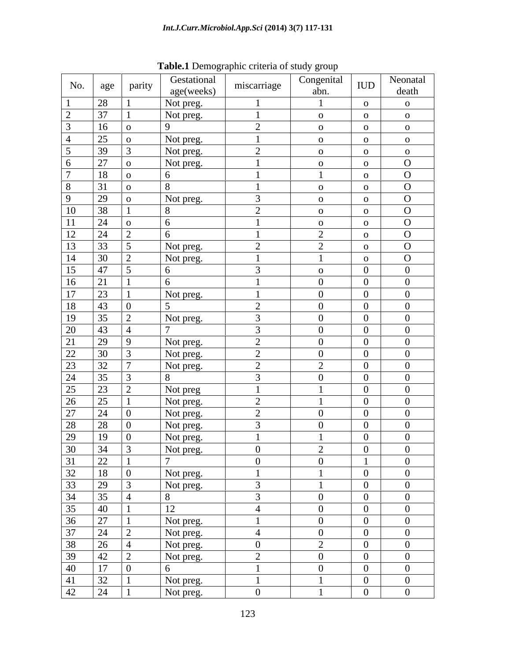| No.                                                                                                                                                                                                                                                                                        | age             | parity | Gestational     | miscarriage                           | Congenital                            | <b>IUD</b>              | Neonatal                |
|--------------------------------------------------------------------------------------------------------------------------------------------------------------------------------------------------------------------------------------------------------------------------------------------|-----------------|--------|-----------------|---------------------------------------|---------------------------------------|-------------------------|-------------------------|
|                                                                                                                                                                                                                                                                                            |                 |        | age(weeks)      |                                       | abn.                                  |                         | death                   |
|                                                                                                                                                                                                                                                                                            | 28              |        | Not preg.       |                                       |                                       | $\overline{O}$          | $\overline{O}$          |
|                                                                                                                                                                                                                                                                                            | $\overline{37}$ |        | Not preg.       |                                       | $\mathbf{O}$                          | $\overline{O}$          | $\overline{\mathbf{O}}$ |
|                                                                                                                                                                                                                                                                                            | 16              |        | -9              | $\gamma$<br>$\overline{a}$            | $\mathbf{O}$                          | $\overline{O}$<br>____  | $\overline{\mathbf{O}}$ |
|                                                                                                                                                                                                                                                                                            | 25<br>___       |        | Not preg.       |                                       | $\mathbf{O}$                          | $\overline{O}$          | $\mathbf{O}$            |
|                                                                                                                                                                                                                                                                                            | 39              |        | Not preg.       | $\gamma$<br>$\overline{ }$            | $\mathbf{o}$                          | $\overline{O}$          | $\mathbf{o}$            |
|                                                                                                                                                                                                                                                                                            | 27              |        | Not preg.       |                                       | $\overline{O}$                        | $\overline{O}$          | $\overline{O}$          |
|                                                                                                                                                                                                                                                                                            | 18              |        | 6               |                                       |                                       | $\overline{\mathbf{O}}$ | $\overline{O}$          |
|                                                                                                                                                                                                                                                                                            | 31<br>-----     |        | $\mathbf{R}$    |                                       | $\mathbf{O}$                          | $\overline{O}$          | $\overline{O}$          |
| $\Omega$                                                                                                                                                                                                                                                                                   | 29              |        | Not preg.       | $\mathcal{L}$                         | $\mathbf{O}$                          | $\overline{O}$          | $\overline{O}$          |
| 10                                                                                                                                                                                                                                                                                         | 38              |        | 8               | $\bigcap$                             | $\mathbf{O}$                          | $\overline{O}$          | $\overline{O}$          |
| 11                                                                                                                                                                                                                                                                                         | 24              |        | 6               |                                       | $\mathbf{O}$                          | $\overline{O}$          | $\overline{O}$          |
| 12                                                                                                                                                                                                                                                                                         | 24              |        | 6               |                                       | $\bigcap$                             | $\overline{O}$          | $\overline{O}$          |
| 13                                                                                                                                                                                                                                                                                         | 33              |        | Not preg.       | $\bigcap$<br>$\overline{\phantom{0}}$ | $\bigcap$<br>$\overline{\phantom{0}}$ | $\overline{O}$          | $\overline{O}$          |
| 14                                                                                                                                                                                                                                                                                         | 30              |        | Not preg.       |                                       |                                       | $\overline{O}$          | $\overline{O}$          |
| 15                                                                                                                                                                                                                                                                                         | 47              |        | 6               | $\overline{3}$                        | $\overline{O}$                        | $\overline{0}$          | $\overline{0}$          |
| 16                                                                                                                                                                                                                                                                                         | 21              |        | 6               |                                       | $\overline{0}$                        | $\overline{0}$          | $\overline{0}$          |
| 17                                                                                                                                                                                                                                                                                         | 23              |        | Not preg.       |                                       | $\overline{0}$                        | $\overline{0}$          | $\overline{0}$          |
| 18                                                                                                                                                                                                                                                                                         | 43              |        | $\overline{5}$  | $\gamma$<br>$\overline{\phantom{a}}$  | $\overline{0}$                        | $\overline{0}$          | $\overline{0}$          |
| $\overline{19}$                                                                                                                                                                                                                                                                            | 35              |        | Not preg.       | -3                                    | $\overline{0}$                        | $\overline{0}$          | $\overline{0}$          |
| $\overline{20}$                                                                                                                                                                                                                                                                            | 43              |        |                 | $\overline{3}$                        | $\overline{0}$                        | $\overline{0}$          | $\overline{0}$          |
| 21                                                                                                                                                                                                                                                                                         | 29              |        | Not preg.       | $\gamma$<br>$\overline{2}$            | $\overline{0}$                        | $\overline{0}$          | $\overline{0}$          |
| 22                                                                                                                                                                                                                                                                                         | 30              |        | Not preg.       | $\gamma$<br>$\overline{v}$            | $\overline{0}$                        | $\overline{0}$          | $\overline{0}$          |
| $\boxed{23}$                                                                                                                                                                                                                                                                               | $\overline{32}$ |        | Not preg.       | $\gamma$<br>$\overline{a}$            | $\gamma$<br>$\overline{ }$            | $\overline{0}$          | $\overline{0}$          |
| $\overline{24}$                                                                                                                                                                                                                                                                            | 35              |        | 8               | $\overline{3}$                        | $\overline{0}$                        | $\overline{0}$          | $\overline{0}$          |
| 25<br>____                                                                                                                                                                                                                                                                                 | 23              |        | Not preg        |                                       |                                       | $\overline{0}$          | $\overline{0}$          |
| 26                                                                                                                                                                                                                                                                                         | 25              |        | Not preg.       | $\gamma$<br>$\overline{a}$            |                                       | $\overline{0}$          | $\overline{0}$          |
| 27                                                                                                                                                                                                                                                                                         | 24              |        | Not preg.       | $\gamma$                              | $\overline{0}$                        | $\overline{0}$          | $\overline{0}$          |
| $\overline{28}$                                                                                                                                                                                                                                                                            | 28              |        | Not preg.       | $\overline{3}$                        | $\overline{0}$                        | $\overline{0}$          | $\overline{0}$          |
| 29                                                                                                                                                                                                                                                                                         | 19              |        | Not preg.       |                                       |                                       | $\overline{0}$          | $\overline{0}$          |
|                                                                                                                                                                                                                                                                                            |                 |        |                 | -0                                    |                                       | $\overline{0}$          | $\mathbf{0}$            |
|                                                                                                                                                                                                                                                                                            |                 |        | Not preg.       | $\overline{0}$                        | $\overline{0}$                        | $\overline{1}$          | $\overline{0}$          |
|                                                                                                                                                                                                                                                                                            |                 |        | Not preg.       |                                       |                                       | $\overline{0}$          | $\overline{0}$          |
|                                                                                                                                                                                                                                                                                            |                 |        | Not preg.       | $\overline{3}$                        |                                       | $\overline{0}$          | $\overline{0}$          |
|                                                                                                                                                                                                                                                                                            |                 |        | 8               | $\overline{3}$                        | $\overline{0}$                        | $\overline{0}$          | $\overline{0}$          |
|                                                                                                                                                                                                                                                                                            |                 |        | 12              | $\overline{4}$                        | $\overline{0}$                        | $\overline{0}$          | $\overline{0}$          |
|                                                                                                                                                                                                                                                                                            |                 |        | Not preg.       |                                       | $\overline{0}$                        | $\overline{0}$          | $\overline{0}$          |
|                                                                                                                                                                                                                                                                                            |                 |        | Not preg.       | $\overline{4}$                        | $\overline{0}$                        | $\overline{0}$          | $\overline{0}$          |
|                                                                                                                                                                                                                                                                                            |                 |        | Not preg.       | $\overline{0}$                        | 2                                     | $\overline{0}$          | $\overline{0}$          |
|                                                                                                                                                                                                                                                                                            |                 |        | Not preg.       | 2                                     | $\overline{0}$                        | $\overline{0}$          | $\overline{0}$          |
|                                                                                                                                                                                                                                                                                            |                 |        | $6\overline{6}$ | $\blacksquare$                        | $\overline{0}$                        | $\overline{0}$          | $\overline{0}$          |
|                                                                                                                                                                                                                                                                                            |                 |        | Not preg.       |                                       |                                       | $\overline{0}$          | $\overline{0}$          |
| $\begin{array}{ c c c c }\hline 29 & 19 \\\hline 30 & 34 \\\hline 31 & 22 \\\hline 32 & 18 \\\hline 33 & 29 \\\hline 34 & 35 \\\hline 35 & 40 \\\hline 36 & 27 \\\hline 37 & 24 \\\hline 38 & 26 \\\hline 39 & 42 \\\hline 40 & 17 \\\hline 41 & 32 \\\hline 42 & 24 \\\hline \end{array}$ |                 |        | Not preg.       | $\overline{0}$                        |                                       | $\overline{0}$          | $\overline{0}$          |

**Table.1** Demographic criteria of study group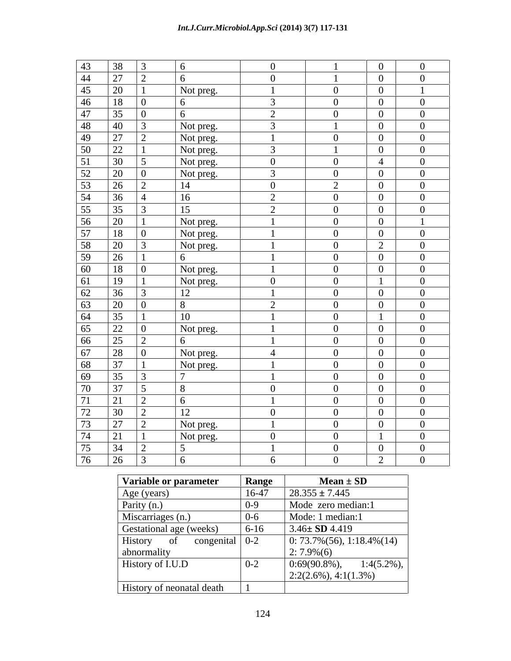## *Int.J.Curr.Microbiol.App.Sci* **(2014) 3(7) 117-131**

| $\frac{43}{44}$<br>38                                                                                 | $\overline{3}$  | 6               | $\overline{0}$ |                | $\overline{0}$ | $\overline{0}$ |
|-------------------------------------------------------------------------------------------------------|-----------------|-----------------|----------------|----------------|----------------|----------------|
| 27                                                                                                    | 2               | 6               | $\overline{0}$ |                | $\overline{0}$ | $\overline{0}$ |
| 45<br>20                                                                                              |                 | Not preg.       |                | $\overline{0}$ | $\overline{0}$ |                |
| 46<br>18                                                                                              | $\overline{0}$  | 6               | $\mathfrak{Z}$ | $\overline{0}$ | $\overline{0}$ | $\overline{0}$ |
| 47<br>35                                                                                              | $\overline{0}$  | 6               | $\overline{2}$ | $\overline{0}$ | $\overline{0}$ | $\overline{0}$ |
| 40                                                                                                    | $\overline{3}$  | Not preg.       | $\mathfrak{Z}$ |                | $\overline{0}$ | $\overline{0}$ |
| $\frac{48}{49}$ $\frac{49}{50}$ $\frac{50}{51}$ $\frac{51}{54}$ $\frac{53}{54}$ $\frac{54}{57}$<br>27 | $\overline{2}$  | Not preg.       | $\mathbf{1}$   | $\overline{0}$ | $\overline{0}$ | $\overline{0}$ |
| 22                                                                                                    |                 | Not preg.       | $\mathfrak{Z}$ |                | $\overline{0}$ | $\overline{0}$ |
| 30                                                                                                    | $5\overline{5}$ | Not preg.       | $\overline{0}$ | $\overline{0}$ | $\overline{4}$ | $\overline{0}$ |
| 20                                                                                                    | $\boxed{0}$     | Not preg.       | $\overline{3}$ | $\overline{0}$ | $\overline{0}$ | $\overline{0}$ |
| 26                                                                                                    | 2               | 14              | $\overline{0}$ | 2              | $\overline{0}$ | $\overline{0}$ |
| 36                                                                                                    | $\overline{4}$  | 16              | 2              | $\overline{0}$ | $\overline{0}$ | $\overline{0}$ |
| 35                                                                                                    | $\overline{3}$  | 15              | $\overline{2}$ | $\overline{0}$ | $\overline{0}$ | $\overline{0}$ |
| 20                                                                                                    |                 | Not preg.       |                | $\overline{0}$ | $\overline{0}$ |                |
| 18                                                                                                    | $\overline{0}$  | Not preg.       |                | $\overline{0}$ | $\overline{0}$ | $\overline{0}$ |
| 58<br>20                                                                                              | $\overline{3}$  | Not preg.       |                | $\overline{0}$ | $\overline{2}$ | $\overline{0}$ |
| 59<br>26                                                                                              |                 | 6               |                | $\overline{0}$ | $\overline{0}$ | $\overline{0}$ |
| 60<br>18                                                                                              | $\overline{0}$  | Not preg.       |                | $\overline{0}$ | $\overline{0}$ | $\overline{0}$ |
| 61<br>19                                                                                              |                 | Not preg.       | $\overline{0}$ | $\overline{0}$ | $\perp$        | $\overline{0}$ |
| 36                                                                                                    | $\overline{3}$  | 12              |                | $\overline{0}$ | $\overline{0}$ | $\overline{0}$ |
| 20                                                                                                    | $\overline{0}$  | 8               | 2              | $\overline{0}$ | $\overline{0}$ | $\overline{0}$ |
| 35                                                                                                    |                 | 10              |                | $\overline{0}$ | $\mathbf{1}$   | $\mathbf{0}$   |
| $rac{62}{62}$<br>$rac{63}{64}$<br>22                                                                  | $\overline{0}$  | Not preg.       |                | $\overline{0}$ | $\overline{0}$ | $\overline{0}$ |
| 66<br>25                                                                                              | $\overline{2}$  | 6               |                | $\overline{0}$ | $\overline{0}$ | $\overline{0}$ |
| 67<br>28                                                                                              | $\boxed{0}$     | Not preg.       | $\overline{4}$ | $\overline{0}$ | $\overline{0}$ | $\overline{0}$ |
| 68<br>37                                                                                              |                 | Not preg.       |                | $\overline{0}$ | $\overline{0}$ | $\overline{0}$ |
| 69<br>35                                                                                              | $\overline{3}$  | $\mathbf{\tau}$ |                | $\overline{0}$ | $\overline{0}$ | $\overline{0}$ |
| 70<br>37                                                                                              | $\overline{5}$  | 8               | $\overline{0}$ | $\overline{0}$ | $\overline{0}$ | $\overline{0}$ |
| 71<br>21                                                                                              | 2               | 6               |                | $\overline{0}$ | $\overline{0}$ | $\overline{0}$ |
| 30                                                                                                    | 2               | 12              | $\overline{0}$ | $\overline{0}$ | $\overline{0}$ | $\overline{0}$ |
| $\frac{72}{73}$<br>27                                                                                 | 2               | Not preg.       |                | $\overline{0}$ | $\overline{0}$ | $\overline{0}$ |
| 21                                                                                                    |                 | Not preg.       | $\overline{0}$ | $\overline{0}$ | -1             | $\overline{0}$ |
| 34                                                                                                    | 2               | $5\overline{)}$ | $\mathbf{1}$   | $\overline{0}$ | $\overline{0}$ | $\overline{0}$ |
| $\frac{74}{75}$ $\frac{75}{76}$<br>26                                                                 | $\overline{3}$  | 6               | 6              | $\overline{0}$ | 2              | $\overline{0}$ |
|                                                                                                       |                 |                 |                |                |                |                |

| Variable or parameter                           | Range    | $Mean \pm SD$                          |
|-------------------------------------------------|----------|----------------------------------------|
| Age (years)                                     | $16-47$  | $28.355 \pm 7.445$                     |
| Parity (n.)                                     | $0 - 9$  | Mode zero median:1                     |
| Miscarriages (n.)                               | $0 - 6$  | Mode: 1 median:1                       |
| Gestational age (weeks)                         | $6 - 16$ | $3.46 \pm SD$ 4.419                    |
| History<br>congenital $\vert 0-2 \rangle$<br>of |          | $\mid 0.73.7\%(56), 1.18.4\%(14) \mid$ |
| abnormality                                     |          | $2:7.9\%(6)$                           |
| History of I.U.D                                | $0-2$    | $1:4(5.2\%)$ ,<br>$0.69(90.8\%)$ ,     |
|                                                 |          | $\vert 2:2(2.6\%)$ , 4:1(1.3%)         |
| <b>History of neonatal death</b>                |          |                                        |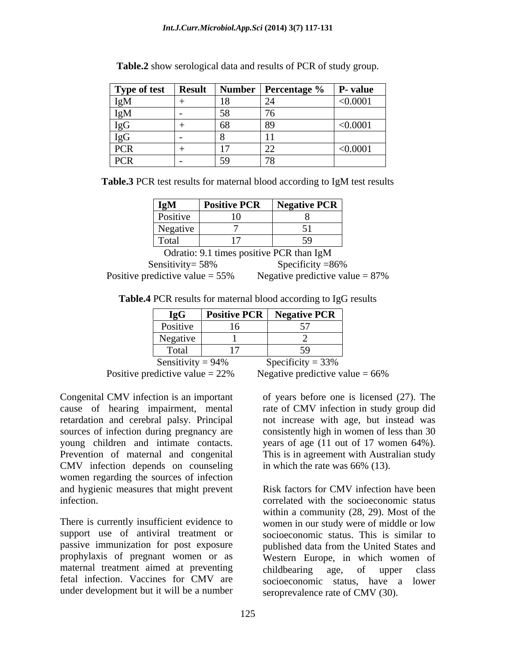|                                                          |                              | <b>Type of test</b> Result Number Percentage % P- value |               |
|----------------------------------------------------------|------------------------------|---------------------------------------------------------|---------------|
|                                                          | <b>10</b><br>$\overline{10}$ | $\bigcap$<br>▏∠┱                                        | < 0.0001      |
|                                                          | $\epsilon$                   | $\overline{a}$                                          |               |
|                                                          | $\sim$                       |                                                         | $<\!\!0.0001$ |
|                                                          |                              |                                                         |               |
| ′∪K ∣                                                    | 17                           |                                                         | < 0.0001      |
| PCR  <br>the contract of the contract of the contract of | $\mathsf{L}$<br>1.77         |                                                         |               |

**Table.2** show serological data and results of PCR of study group.

**Table.3** PCR test results for maternal blood according to IgM test results

| IgM                                |                                  | <b>Positive PCR</b>   Negative PCR       |
|------------------------------------|----------------------------------|------------------------------------------|
| Positive                           | 1 <sub>0</sub>                   |                                          |
|                                    | 1V.                              |                                          |
| $N$ egative                        |                                  |                                          |
| $\sim$                             |                                  |                                          |
| Total                              | 1 <sub>7</sub><br>$\blacksquare$ |                                          |
|                                    |                                  |                                          |
|                                    |                                  | Odratio: 9.1 times positive PCR than IgM |
| Sensitivity= 58%                   |                                  | Specificity $=86\%$                      |
|                                    |                                  |                                          |
| Positive predictive value $= 55\%$ |                                  | Negative predictive value $= 87\%$       |

**Table.4** PCR results for maternal blood according to IgG results

| $\boxed{\phantom{a} \text{IgG}}$ | <b>Positive PCR</b> $\left  \right $ | $\mathsf{N}$ Negative PCR |  |
|----------------------------------|--------------------------------------|---------------------------|--|
| Positive                         |                                      | $\overline{a}$            |  |
| Negative                         |                                      |                           |  |
| Total                            |                                      | $\sim$                    |  |
| Sensitivity = $94\%$             |                                      | Specificity = $33\%$      |  |

Positive predictive value  $= 22\%$  Negative predictive value  $= 66\%$ 

Congenital CMV infection is an important of years before one is licensed (27). The CMV infection depends on counseling women regarding the sources of infection and hygienic measures that might prevent Risk factors for CMV infection have been

There is currently insufficient evidence to women in our study were of middle or low support use of antiviral treatment or socioeconomic status. This is similar to passive immunization for post exposure published data from the United States and prophylaxis of pregnant women or as Western Europe, in which women of maternal treatment aimed at preventing childbearing age, of upper class fetal infection. Vaccines for CMV are socioeconomic status, have a lower under development but it will be a number

cause of hearing impairment, mental rate of CMV infection in study group did retardation and cerebral palsy. Principal not increase with age, but instead was sources of infection during pregnancy are consistently high in women of less than 30 young children and intimate contacts. years of age (11 out of 17 women 64%). Prevention of maternal and congenital This is in agreement with Australian study in which the rate was 66% (13).

infection. correlated with the socioeconomic status Risk factors for CMV infection have been within a community (28, 29). Most of the childbearing age, of upper class seroprevalence rate of CMV (30).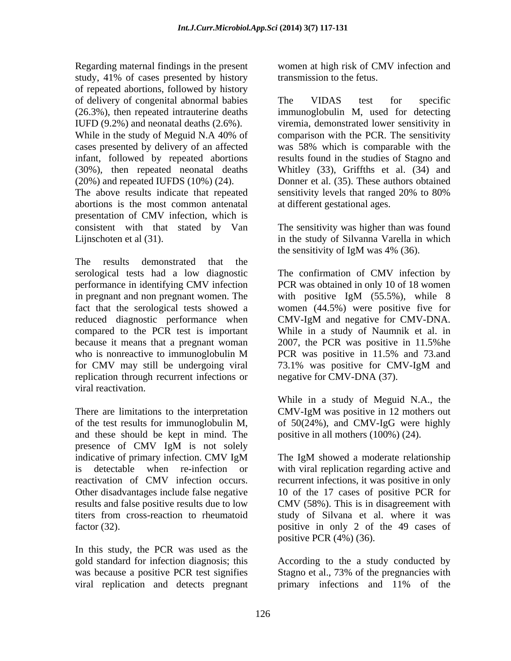Regarding maternal findings in the present women at high risk of CMV infection and study, 41% of cases presented by history of repeated abortions, followed by history of delivery of congenital abnormal babies The VIDAS test for specific

The above results indicate that repeated sensitivity levels that ranged 20% to 80% abortions is the most common antenatal presentation of CMV infection, which is consistent with that stated by Van The sensitivity was higher than was found

The results demonstrated that the in pregnant and non pregnant women. The with positive IgM (55.5%), while 8 reduced diagnostic performance when CMV-IgM and negative for CMV-DNA. for CMV may still be undergoing viral 73.1% was positive for CMV-IgM and replication through recurrent infections or viral reactivation.

There are limitations to the interpretation CMV-IgM was positive in 12 mothers out of the test results for immunoglobulin M, of 50(24%), and CMV-IgG were highly and these should be kept in mind. The presence of CMV IgM is not solely Other disadvantages include false negative

In this study, the PCR was used as the gold standard for infection diagnosis; this According to the a study conducted by was because a positive PCR test signifies Stagno et al., 73% of the pregnancies with viral replication and detects pregnant primary infections and 11% of the

transmission to the fetus.

(26.3%), then repeated intrauterine deaths immunoglobulin M, used for detecting IUFD (9.2%) and neonatal deaths (2.6%). viremia, demonstrated lower sensitivity in While in the study of Meguid N.A 40% of comparison with the PCR. The sensitivity cases presented by delivery of an affected was 58% which is comparable with the infant, followed by repeated abortions results found in the studies of Stagno and (30%), then repeated neonatal deaths Whitley (33), Griffths et al. (34) and (20%) and repeated IUFDS (10%) (24). Donner et al. (35). These authors obtained The VIDAS test for specific comparison with the PCR. The sensitivity sensitivity levels that ranged 20% to 80% at different gestational ages.

Lijnschoten et al (31). in the study of Silvanna Varella in which the sensitivity of IgM was 4% (36).

serological tests had a low diagnostic The confirmation of CMV infection by performance in identifying CMV infection PCR was obtained in only 10 of 18 women fact that the serological tests showed a women (44.5%) were positive five for compared to the PCR test is important While in a study of Naumnik et al. in because it means that a pregnant woman 2007, the PCR was positive in 11.5%he who is nonreactive to immunoglobulin M PCR was positive in 11.5% and 73.and with positive IgM (55.5%), while 8 CMV-IgM and negative for CMV-DNA. PCR was positive in 11.5% and 73.and 73.1% was positive for CMV-IgM and negative for CMV-DNA (37).

> While in a study of Meguid N.A., the CMV-IgM was positive in 12 mothers out positive in all mothers (100%) (24).

indicative of primary infection. CMV IgM is detectable when re-infection or with viral replication regarding active and reactivation of CMV infection occurs. recurrent infections, it was positive in only results and false positive results due to low CMV (58%). This is in disagreement with titers from cross-reaction to rheumatoid factor (32). The positive in only 2 of the 49 cases of  $\sim$ The IgM showed a moderate relationship 10 of the 17 cases of positive PCR for study of Silvana et al. where it was positive PCR (4%) (36).

primary infections and 11% of the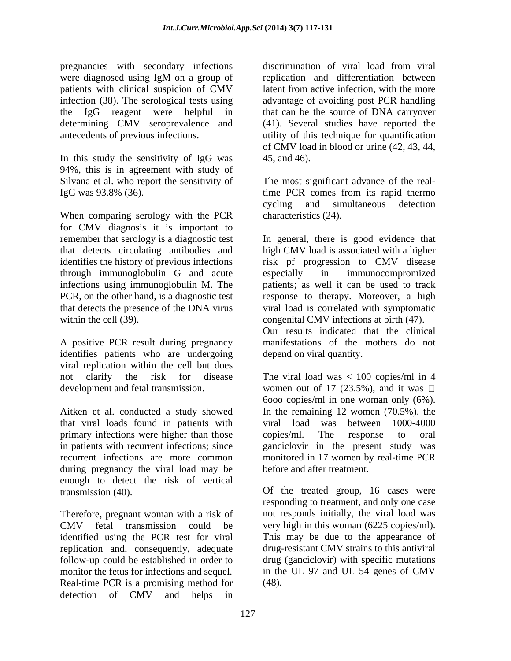pregnancies with secondary infections discrimination of viral load from viral were diagnosed using IgM on a group of patients with clinical suspicion of CMV latent from active infection, with the more infection (38). The serological tests using advantage of avoiding post PCR handling the IgG reagent were helpful in that can be the source of DNA carryover determining CMV seroprevalence and antecedents of previous infections. utility of this technique for quantification

In this study the sensitivity of IgG was 45, and 46). 94%, this is in agreement with study of Silvana et al. who report the sensitivity of The most significant advance of the real-IgG was 93.8% (36). time PCR comes from its rapid thermo

When comparing serology with the PCR for CMV diagnosis it is important to remember that serology is a diagnostic test In general, there is good evidence that that detects circulating antibodies and high CMV load is associated with a higher identifies the history of previous infections risk pf progression to CMV disease through immunoglobulin G and acute infections using immunoglobulin M. The PCR, on the other hand, is a diagnostic test response to therapy. Moreover, a high that detects the presence of the DNA virus viral load is correlated with symptomatic

A positive PCR result during pregnancy identifies patients who are undergoing viral replication within the cell but does

Aitken et al. conducted a study showed In the remaining 12 women (70.5%), the that viral loads found in patients with viral load was between 1000-4000 primary infections were higher than those copies/ml. The response to oral in patients with recurrent infections; since ganciclovir in the present study was recurrent infections are more common monitored in 17 women by real-time PCR during pregnancy the viral load may be enough to detect the risk of vertical transmission (40). Of the treated group, 16 cases were

Therefore, pregnant woman with a risk of CMV fetal transmission could be very high in this woman (6225 copies/ml). identified using the PCR test for viral This may be due to the appearance of replication and, consequently, adequate follow-up could be established in order to monitor the fetus for infections and sequel. Real-time PCR is a promising method for detection of CMV and helps in

replication and differentiation between latent from active infection, with the more (41). Several studies have reported the of CMV load in blood or urine (42, 43, 44, 45, and 46).

cycling and simultaneous detection characteristics (24).

within the cell (39). congenital CMV infections at birth (47). especially in immunocompromized patients; as well it can be used to track

Our results indicated that the clinical manifestations of the mothers do not depend on viral quantity.

not clarify the risk for disease The viral load was < 100 copies/ml in 4 development and fetal transmission. women out of 17 (23.5%), and it was 6ooo copies/ml in one woman only (6%). copies/ml. The response to oral before and after treatment.

> responding to treatment, and only one case not responds initially, the viral load was drug-resistant CMV strains to this antiviral drug (ganciclovir) with specific mutations in the UL 97 and UL 54 genes of CMV (48).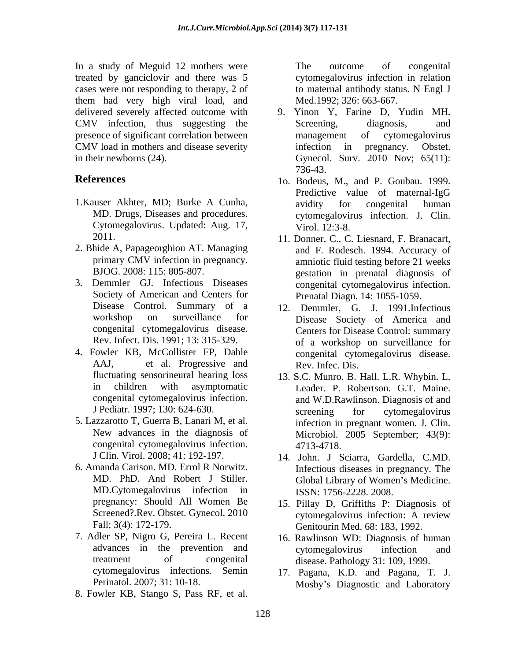In a study of Meguid 12 mothers were The outcome of congenital treated by ganciclovir and there was 5 cases were not responding to therapy, 2 of to maternal antibody status. N Engl J them had very high viral load, and delivered severely affected outcome with CMV infection, thus suggesting the Screening, diagnosis, and presence of significant correlation between management of cytomegalovirus CMV load in mothers and disease severity infection in pregnancy. Obstet.

- 1.Kauser Akhter, MD; Burke A Cunha, Cytomegalovirus. Updated: Aug. 17,
- 2. Bhide A, Papageorghiou AT. Managing
- 3. Demmler GJ. Infectious Diseases Society of American and Centers for congenital cytomegalovirus disease.
- 4. Fowler KB, McCollister FP, Dahle
- 5. Lazzarotto T, Guerra B, Lanari M, et al. congenital cytomegalovirus infection.
- MD.Cytomegalovirus infection in
- 7. Adler SP, Nigro G, Pereira L. Recent
- 8. Fowler KB, Stango S, Pass RF, et al.

The outcome of congenital cytomegalovirus infection in relation to maternal antibody status. N Engl J Med.1992; 326: 663-667.

- in their newborns (24). Gynecol. Surv. 2010 Nov; 65(11): 9. Yinon Y, Farine D, Yudin MH. Screening, diagnosis, and management of cytomegalovirus infection in pregnancy. Obstet. 736-43.
- **References** 1o. Bodeus, M., and P. Goubau. 1999. MD. Drugs, Diseases and procedures. cytomegalovirus infection. J. Clin. Predictive value of maternal-IgG avidity for congenital human Virol. 12:3-8.
	- 2011. 11. Donner, C., C. Liesnard, F. Branacart, primary CMV infection in pregnancy. amniotic fluid testing before 21 weeks BJOG. 2008: 115: 805-807. gestation in prenatal diagnosis of and F. Rodesch. 1994. Accuracy of congenital cytomegalovirus infection. Prenatal Diagn. 14: 1055-1059.
	- Disease Control. Summary of a 12. Demmler, G. J. 1991.Infectious workshop on surveillance for Disease Society of America and Rev. Infect. Dis. 1991; 13: 315-329. of a workshop on surveillance for AAJ, et al. Progressive and Rev. Infec. Dis. Centers for Disease Control: summary congenital cytomegalovirus disease. Rev. Infec. Dis.
	- fluctuating sensorineural hearing loss 13. S.C. Munro. B. Hall. L.R. Whybin. L. in children with asymptomatic Leader. P. Robertson. G.T. Maine. congenital cytomegalovirus infection. and W.D.Rawlinson. Diagnosis of and J Pediatr. 1997; 130: 624-630. Screening for cytomegalovirus New advances in the diagnosis of Microbiol. 2005 September; 43(9): screening for cytomegalovirus infection in pregnant women. J. Clin. 4713-4718.
- J Clin. Virol. 2008; 41: 192-197. 14. John. J Sciarra, Gardella, C.MD. 6. Amanda Carison. MD. Errol R Norwitz.<br>MD. PhD. And Robert J Stiller. Global Library of Women's Medicine. Infectious diseases in pregnancy. The Global Library of Women's Medicine. ISSN: 1756-2228. 2008.
	- pregnancy: Should All Women Be 15. Pillay D, Griffiths P: Diagnosis of Screened?.Rev. Obstet. Gynecol. 2010 cytomegalovirus infection: A review Fall; 3(4): 172-179. Genitourin Med. 68: 183, 1992. cytomegalovirus infection: A review
	- advances in the prevention and cytomegalovirus infection and treatment of congenital disease. Pathology 31: 109, 1999. 16. Rawlinson WD: Diagnosis of human cytomegalovirus infection and
	- cytomegalovirus infections. Semin 17. Pagana, K.D. and Pagana, T. J. Perinatol. 2007; 31: 10-18. Mosby's Diagnostic and Laboratory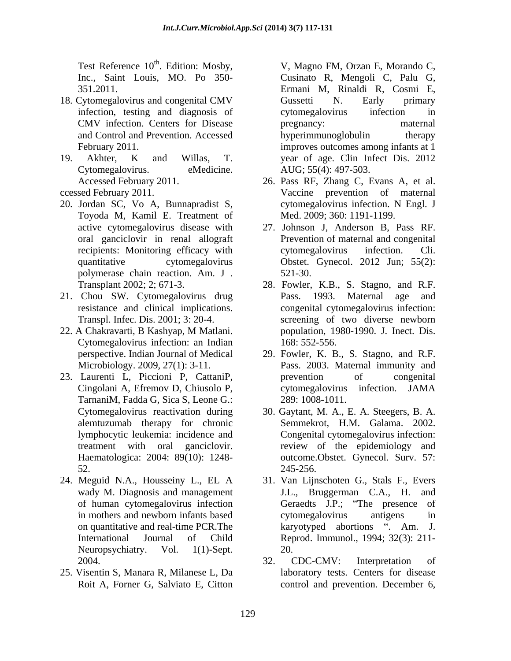Test Reference 10<sup>th</sup>. Edition: Mosby,

- 18. Cytomegalovirus and congenital CMV Gussetti N. Early primary infection, testing and diagnosis of cytomegalovirus infection in CMV infection. Centers for Disease and Control and Prevention. Accessed
- 19. Akhter, K and Willas, T. year of age. Clin Infect Dis. 2012
- 
- Toyoda M, Kamil E. Treatment of polymerase chain reaction. Am. J .
- 21. Chou SW. Cytomegalovirus drug Pass. 1993. Maternal age and Transpl. Infec. Dis. 2001; 3: 20-4.
- Cytomegalovirus infection: an Indian
- TarnaniM, Fadda G, Sica S, Leone G.: alemtuzumab therapy for chronic Haematologica: 2004: 89(10): 1248-
- Neuropsychiatry. Vol. 1(1)-Sept. 20.
- 25. Visentin S, Manara R, Milanese L, Da

<sup>th</sup>. Edition: Mosby, **V, Magno FM, Orzan E, Morando C**, Inc., Saint Louis, MO. Po 350- Cusinato R, Mengoli C, Palu G, 351.2011. Ermani M, Rinaldi R, Cosmi E, February 2011. improves outcomes among infants at 1 Cytomegalovirus. eMedicine. AUG; 55(4): 497-503. Gussetti N. Early primary cytomegalovirus infection in pregnancy: maternal hyperimmunoglobulin therapy

- Accessed February 2011. 26. Pass RF, Zhang C, Evans A, et al. ccessed February 2011. Vaccine prevention of maternal 20. Jordan SC, Vo A, Bunnapradist S, cytomegalovirus infection. N Engl. J Med. 2009; 360: 1191-1199.
	- active cytomegalovirus disease with 27. Johnson J, Anderson B, Pass RF. oral ganciclovir in renal allograft Prevention of maternal and congenital recipients: Monitoring efficacy with extended virus infection. Cli. quantitative cytomegalovirus Obstet. Gynecol. 2012 Jun; 55(2): cytomegalovirus infection. Cli. 521-30.
- Transplant 2002; 2; 671-3. 28. Fowler, K.B., S. Stagno, and R.F. resistance and clinical implications. congenital cytomegalovirus infection: 22. A Chakravarti, B Kashyap, M Matlani. Pass. 1993. Maternal age and screening of two diverse newborn population, 1980-1990. J. Inect. Dis. 168: 552-556.
- perspective. Indian Journal of Medical 29. Fowler, K. B., S. Stagno, and R.F. Microbiology. 2009, 27(1): 3-11. Pass. 2003. Maternal immunity and 23. Laurenti L, Piccioni P, CattaniP, Cingolani A, Efremov D, Chiusolo P, prevention of congenital cytomegalovirus infection. JAMA 289: 1008-1011.
	- Cytomegalovirus reactivation during 30. Gaytant, M. A., E. A. Steegers, B. A. lymphocytic leukemia: incidence and Congenital cytomegalovirus infection: treatment with oral ganciclovir. The review of the epidemiology and 52. 245-256. Semmekrot, H.M. Galama. 2002. outcome.Obstet. Gynecol. Surv. 57: 245-256.
- 24. Meguid N.A., Housseiny L., EL A 31. Van Lijnschoten G., Stals F., Evers wady M. Diagnosis and management J.L., Bruggerman C.A., H. and of human cytomegalovirus infection in mothers and newborn infants based cytomegalovirus antigens in on quantitative and real-time PCR. The  $\mu$  karyotyped abortions ". Am. J. International Journal of Child Reprod. Immunol., 1994; 32(3): 211- Geraedts J.P.; "The presence cytomegalovirus antigens in 20.
	- 2004. 2004. 2004. 2004. 2004. Roit A, Forner G, Salviato E, Citton control and prevention. December 6,32. CDC-CMV: Interpretation of laboratory tests. Centers for disease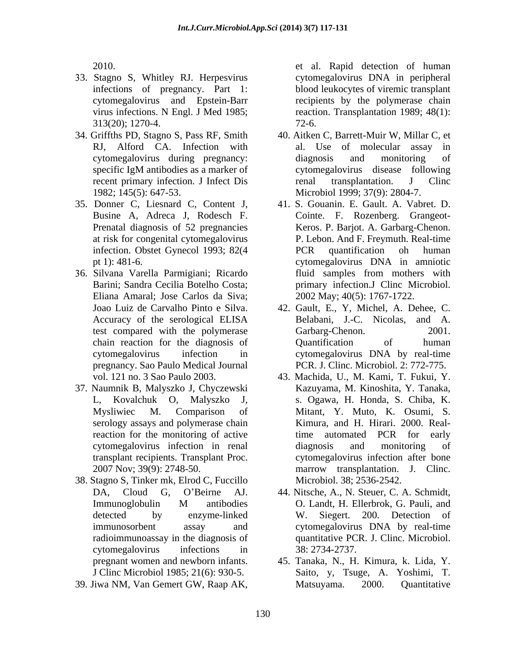- 3. Stagno S, Whitley RJ. Herpesvirus 313(20); 1270-4.
- 
- 35. Donner C, Liesnard C, Content J, 1. S. Gouanin. E. Gault. A. Vabret. D.
- Eliana Amaral; Jose Carlos da Siva; pregnancy. Sao Paulo Medical Journal
- 37. Naumnik B, Malyszko J, Chyczewski serology assays and polymerase chain reaction for the monitoring of active
- 38. Stagno S, Tinker mk, Elrod C, Fuccillo radioimmunoassay in the diagnosis of cytomegalovirus infections in 38: 2734-2737.
- 

2010. et al. Rapid detection of human infections of pregnancy. Part 1: blood leukocytes of viremic transplant cytomegalovirus and Epstein-Barr recipients by the polymerase chain virus infections. N Engl. J Med 1985; reaction. Transplantation 1989; 48(1): cytomegalovirus DNA in peripheral 72-6.

- 34. Griffths PD, Stagno S, Pass RF, Smith 40. Aitken C, Barrett-Muir W, Millar C, et RJ, Alford CA. Infection with al. Use of molecular assay in cytomegalovirus during pregnancy: specific IgM antibodies as a marker of cytomegalovirus disease following recent primary infection. J Infect Dis renal transplantation. J Clinc 1982; 145(5): 647-53. Microbiol 1999; 37(9): 2804-7. al. Use of molecular assay diagnosis and monitoring of renal transplantation. J Clinc
- Busine A, Adreca J, Rodesch F. Cointe. F. Rozenberg. Grangeot- Prenatal diagnosis of 52 pregnancies Keros.P. Barjot. A. Garbarg-Chenon. at risk for congenital cytomegalovirus P. Lebon. And F. Freymuth. Real-time infection. Obstet Gynecol 1993; 82(4 PCR quantification oh human pt 1): 481-6. cytomegalovirus DNA in amniotic 6. Silvana Varella Parmigiani; Ricardo Barini; Sandra Cecilia Botelho Costa; primary infection.J Clinc Microbiol. PCR quantification oh human fluid samples from mothers with 2002 May; 40(5): 1767-1722.
	- Joao Luiz de Carvalho Pinto e Silva. 42. Gault, E., Y, Michel, A. Dehee, C. Accuracy of the serological ELISA Belabani, J.-C. Nicolas, and A. test compared with the polymerase Garbarg-Chenon. 2001. chain reaction for the diagnosis of cytomegalovirus infection in cytomegalovirus DNA by real-time Belabani, J.-C. Nicolas, and A. Garbarg-Chenon. Quantification of human PCR. J. Clinc. Microbiol. 2: 772-775.
	- vol. 121 no. 3 Sao Paulo 2003. 43. Machida, U., M. Kami, T. Fukui, Y. L, Kovalchuk O, Malyszko J, s. Ogawa, H. Honda, S. Chiba, K. Mysliwiec M. Comparison of Mitant, Y. Muto, K. Osumi, S. cytomegalovirus infection in renal transplant recipients. Transplant Proc. cytomegalovirus infection after bone 2007 Nov; 39(9): 2748-50. marrow transplantation. J. Clinc. Kazuyama, M. Kinoshita, Y. Tanaka, Kimura, and H. Hirari. 2000. Realtime automated PCR for early diagnosis and monitoring of Microbiol. 38; 2536-2542.
	- DA, Cloud G, O'Beirne AJ. 44. Nitsche, A., N. Steuer, C. A. Schmidt, Immunoglobulin M antibodies O. Landt, H. Ellerbrok, G. Pauli, and detected by enzyme-linked W. Siegert. 200. Detection of immunosorbent assay and cytomegalovirus DNA by real-time O. Landt, H. Ellerbrok, G. Pauli, and W. Siegert. 200. Detection of quantitative PCR. J. Clinc. Microbiol. 38: 2734-2737.
- pregnant women and newborn infants. 5. Tanaka, N., H. Kimura, k. Lida, Y. J Clinc Microbiol 1985; 21(6): 930-5. Saito, y, Tsuge, A. Yoshimi, T. 39. Jiwa NM, Van Gemert GW, Raap AK, Matsuyama. 2000. Quantitative